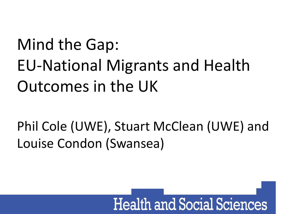## Mind the Gap: EU-National Migrants and Health Outcomes in the UK

Phil Cole (UWE), Stuart McClean (UWE) and Louise Condon (Swansea)

## **Health and Social Sciences**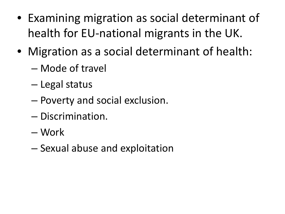- Examining migration as social determinant of health for EU-national migrants in the UK.
- Migration as a social determinant of health:
	- Mode of travel
	- Legal status
	- Poverty and social exclusion.
	- Discrimination.
	- Work
	- Sexual abuse and exploitation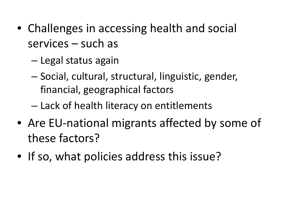- Challenges in accessing health and social services – such as
	- Legal status again
	- Social, cultural, structural, linguistic, gender, financial, geographical factors
	- Lack of health literacy on entitlements
- Are EU-national migrants affected by some of these factors?
- If so, what policies address this issue?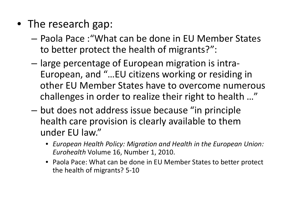- The research gap:
	- Paola Pace :"What can be done in EU Member States to better protect the health of migrants?":
	- large percentage of European migration is intra-European, and "…EU citizens working or residing in other EU Member States have to overcome numerous challenges in order to realize their right to health …"
	- but does not address issue because "in principle health care provision is clearly available to them under EU law."
		- *European Health Policy: Migration and Health in the European Union: Eurohealth* Volume 16, Number 1, 2010.
		- Paola Pace: What can be done in EU Member States to better protect the health of migrants? 5-10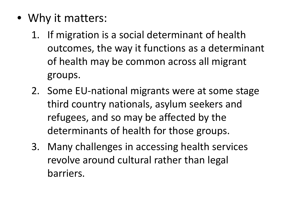- Why it matters:
	- 1. If migration is a social determinant of health outcomes, the way it functions as a determinant of health may be common across all migrant groups.
	- 2. Some EU-national migrants were at some stage third country nationals, asylum seekers and refugees, and so may be affected by the determinants of health for those groups.
	- 3. Many challenges in accessing health services revolve around cultural rather than legal barriers.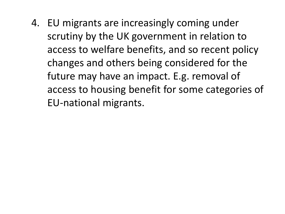4. EU migrants are increasingly coming under scrutiny by the UK government in relation to access to welfare benefits, and so recent policy changes and others being considered for the future may have an impact. E.g. removal of access to housing benefit for some categories of EU-national migrants.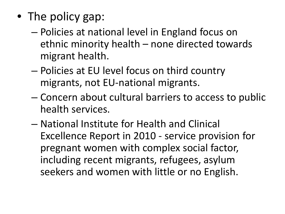- The policy gap:
	- Policies at national level in England focus on ethnic minority health – none directed towards migrant health.
	- Policies at EU level focus on third country migrants, not EU-national migrants.
	- Concern about cultural barriers to access to public health services.
	- National Institute for Health and Clinical Excellence Report in 2010 - service provision for pregnant women with complex social factor, including recent migrants, refugees, asylum seekers and women with little or no English.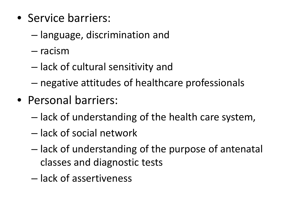- Service barriers:
	- language, discrimination and
	- racism
	- lack of cultural sensitivity and
	- negative attitudes of healthcare professionals
- Personal barriers:
	- lack of understanding of the health care system,
	- lack of social network
	- lack of understanding of the purpose of antenatal classes and diagnostic tests
	- lack of assertiveness